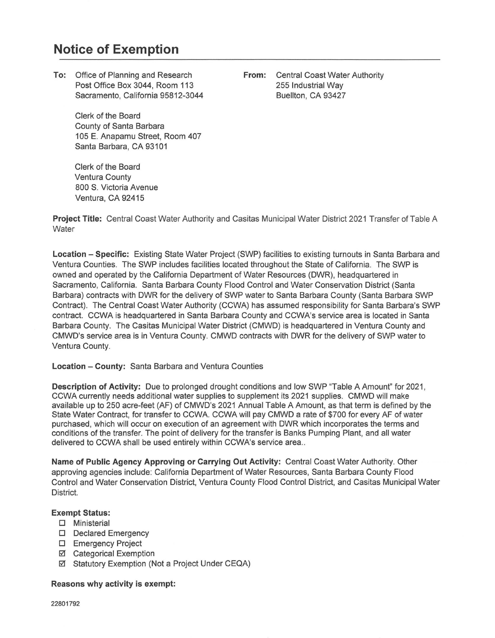## **Notice of Exemption**

**To:** Office of Planning and Research Post Office Box 3044, Room 113 Sacramento, California 95812-3044

> Clerk of the Board County of Santa Barbara 105 E. Anapamu Street, Room 407 Santa Barbara, CA 93101

Clerk of the Board Ventura County 800 S. Victoria Avenue Ventura, CA 92415

**From:** Central Coast Water Authority 255 Industrial Way Buellton, CA 93427

**Project Title:** Central Coast Water Authority and Casitas Municipal Water District 2021 Transfer of Table A **Water** 

**Location - Specific:** Existing State Water Project (SWP) facilities to existing turnouts in Santa Barbara and Ventura Counties. The SWP includes facilities located throughout the State of California. The SWP is owned and operated by the California Department of Water Resources (DWR), headquartered in Sacramento, California. Santa Barbara County Flood Control and Water Conservation District (Santa Barbara) contracts with DWR for the delivery of SWP water to Santa Barbara County (Santa Barbara SWP Contract). The Central Coast Water Authority (CCWA) has assumed responsibility for Santa Barbara's SWP contract. CCWA is headquartered in Santa Barbara County and CCWA's service area is located in Santa Barbara County. The Casitas Municipal Water District (CMWD) is headquartered in Ventura County and CMWD's service area is in Ventura County. CMWD contracts with DWR for the delivery of SWP water to Ventura County.

## **Location - County:** Santa Barbara and Ventura Counties

**Description of Activity:** Due to prolonged drought conditions and low SWP "Table A Amount" for 2021, CCWA currently needs additional water supplies to supplement its 2021 supplies. CMWD will make available up to 250 acre-feet (AF) of CMWD's 2021 Annual Table A Amount, as that term is defined by the State Water Contract, for transfer to CCWA. CCWA will pay CMWD a rate of \$700 for every AF of water purchased, which will occur on execution of an agreement with DWR which incorporates the terms and conditions of the transfer. The point of delivery for the transfer is Banks Pumping Plant, and all water delivered to CCWA shall be used entirely within CCWA's service area...

**Name of Public Agency Approving or Carrying Out Activity:** Central Coast Water Authority. Other approving agencies include: California Department of Water Resources, Santa Barbara County Flood Control and Water Conservation District, Ventura County Flood Control District, and Casitas Municipal Water District.

## **Exempt Status:**

- O Ministerial
- D Declared Emergency
- O Emergency Project
- □ Categorical Exemption
- Statutory Exemption (Not a Project Under CEQA)

## **Reasons why activity is exempt:**